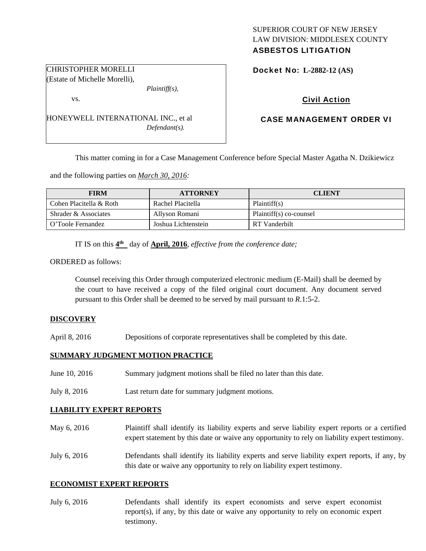# SUPERIOR COURT OF NEW JERSEY LAW DIVISION: MIDDLESEX COUNTY ASBESTOS LITIGATION

Docket No: **L-2882-12 (AS)** 

# Civil Action

# CASE MANAGEMENT ORDER VI

This matter coming in for a Case Management Conference before Special Master Agatha N. Dzikiewicz

and the following parties on *March 30, 2016:*

HONEYWELL INTERNATIONAL INC., et al

| <b>FIRM</b>             | <b>ATTORNEY</b>     | <b>CLIENT</b>           |
|-------------------------|---------------------|-------------------------|
| Cohen Placitella & Roth | Rachel Placitella   | Plaintiff(s)            |
| Shrader & Associates    | Allyson Romani      | Plaintiff(s) co-counsel |
| O'Toole Fernandez       | Joshua Lichtenstein | RT Vanderbilt           |

IT IS on this **4th** day of **April, 2016**, *effective from the conference date;* 

*Plaintiff(s),* 

*Defendant(s).* 

ORDERED as follows:

CHRISTOPHER MORELLI (Estate of Michelle Morelli),

vs.

Counsel receiving this Order through computerized electronic medium (E-Mail) shall be deemed by the court to have received a copy of the filed original court document. Any document served pursuant to this Order shall be deemed to be served by mail pursuant to *R*.1:5-2.

#### **DISCOVERY**

April 8, 2016 Depositions of corporate representatives shall be completed by this date.

## **SUMMARY JUDGMENT MOTION PRACTICE**

- June 10, 2016 Summary judgment motions shall be filed no later than this date.
- July 8, 2016 Last return date for summary judgment motions.

### **LIABILITY EXPERT REPORTS**

- May 6, 2016 Plaintiff shall identify its liability experts and serve liability expert reports or a certified expert statement by this date or waive any opportunity to rely on liability expert testimony.
- July 6, 2016 Defendants shall identify its liability experts and serve liability expert reports, if any, by this date or waive any opportunity to rely on liability expert testimony.

#### **ECONOMIST EXPERT REPORTS**

July 6, 2016 Defendants shall identify its expert economists and serve expert economist report(s), if any, by this date or waive any opportunity to rely on economic expert testimony.